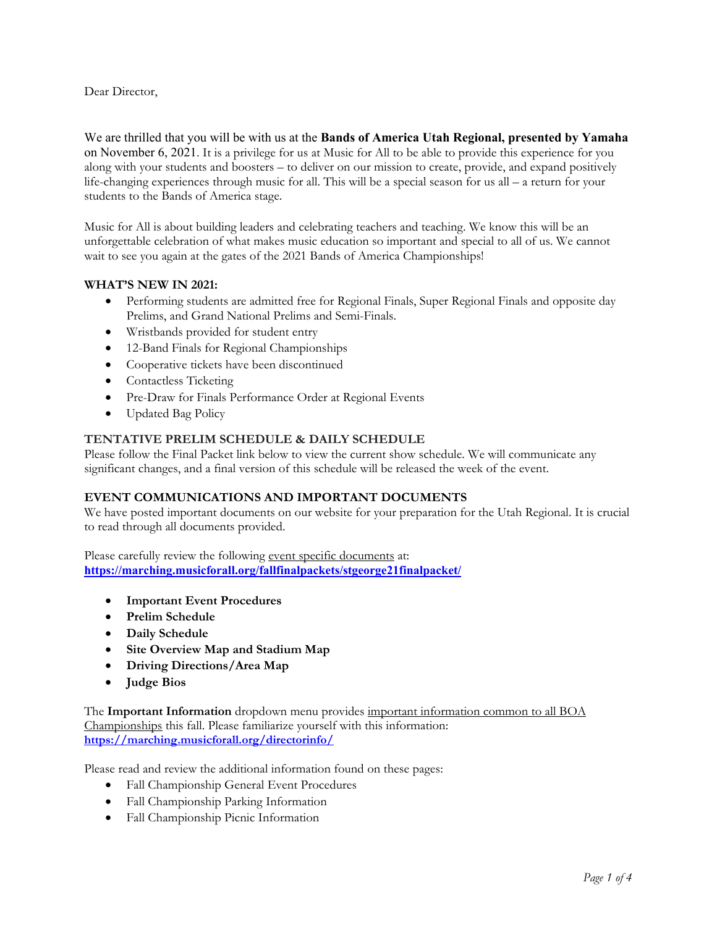Dear Director,

We are thrilled that you will be with us at the **Bands of America Utah Regional, presented by Yamaha** on November 6, 2021. It is a privilege for us at Music for All to be able to provide this experience for you along with your students and boosters – to deliver on our mission to create, provide, and expand positively life-changing experiences through music for all. This will be a special season for us all – a return for your students to the Bands of America stage.

Music for All is about building leaders and celebrating teachers and teaching. We know this will be an unforgettable celebration of what makes music education so important and special to all of us. We cannot wait to see you again at the gates of the 2021 Bands of America Championships!

# **WHAT'S NEW IN 2021:**

- Performing students are admitted free for Regional Finals, Super Regional Finals and opposite day Prelims, and Grand National Prelims and Semi-Finals.
- Wristbands provided for student entry
- 12-Band Finals for Regional Championships
- Cooperative tickets have been discontinued
- Contactless Ticketing
- Pre-Draw for Finals Performance Order at Regional Events
- Updated Bag Policy

## **TENTATIVE PRELIM SCHEDULE & DAILY SCHEDULE**

Please follow the Final Packet link below to view the current show schedule. We will communicate any significant changes, and a final version of this schedule will be released the week of the event.

## **EVENT COMMUNICATIONS AND IMPORTANT DOCUMENTS**

We have posted important documents on our website for your preparation for the Utah Regional. It is crucial to read through all documents provided.

Please carefully review the following event specific documents at: **<https://marching.musicforall.org/fallfinalpackets/stgeorge21finalpacket/>**

- **Important Event Procedures**
- **Prelim Schedule**
- **Daily Schedule**
- **Site Overview Map and Stadium Map**
- **Driving Directions/Area Map**
- **Judge Bios**

The **Important Information** dropdown menu provides important information common to all BOA Championships this fall. Please familiarize yourself with this information: **<https://marching.musicforall.org/directorinfo/>**

Please read and review the additional information found on these pages:

- Fall Championship General Event Procedures
- Fall Championship Parking Information
- Fall Championship Picnic Information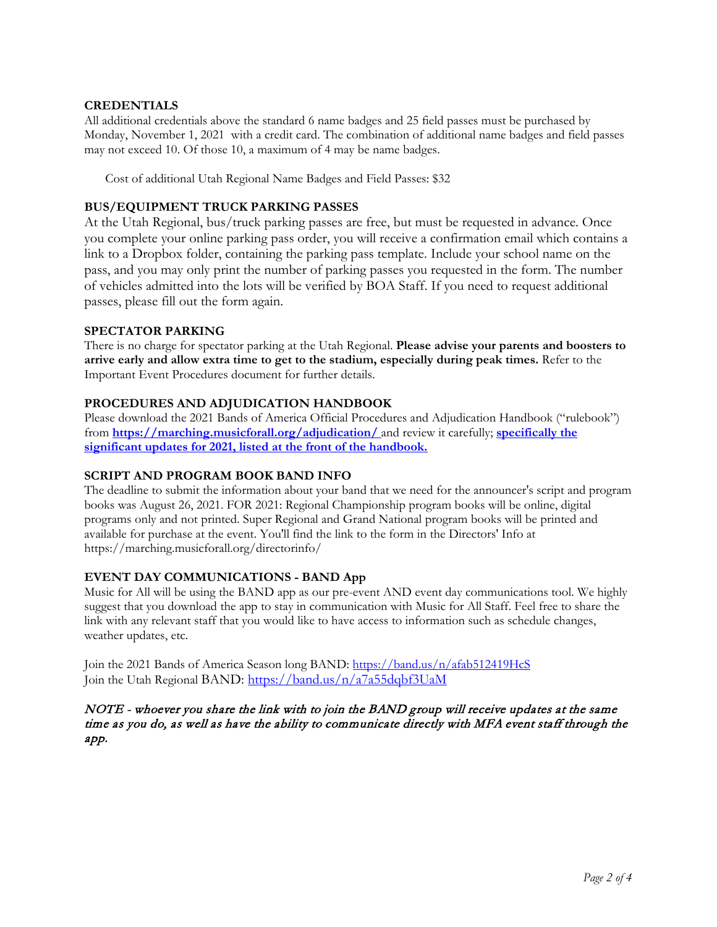## **CREDENTIALS**

All additional credentials above the standard 6 name badges and 25 field passes must be purchased by Monday, November 1, 2021 with a credit card. The combination of additional name badges and field passes may not exceed 10. Of those 10, a maximum of 4 may be name badges.

Cost of additional Utah Regional Name Badges and Field Passes: \$32

## **BUS/EQUIPMENT TRUCK PARKING PASSES**

At the Utah Regional, bus/truck parking passes are free, but must be requested in advance. Once you complete your online parking pass order, you will receive a confirmation email which contains a link to a Dropbox folder, containing the parking pass template. Include your school name on the pass, and you may only print the number of parking passes you requested in the form. The number of vehicles admitted into the lots will be verified by BOA Staff. If you need to request additional passes, please fill out the form again.

### **SPECTATOR PARKING**

There is no charge for spectator parking at the Utah Regional. **Please advise your parents and boosters to arrive early and allow extra time to get to the stadium, especially during peak times.** Refer to the Important Event Procedures document for further details.

# **PROCEDURES AND ADJUDICATION HANDBOOK**

Please download the 2021 Bands of America Official Procedures and Adjudication Handbook ("rulebook") from **<https://marching.musicforall.org/adjudication/>** and review it carefully; **specifically the significant updates for 2021, listed at the front of the handbook.**

## **SCRIPT AND PROGRAM BOOK BAND INFO**

The deadline to submit the information about your band that we need for the announcer's script and program books was August 26, 2021. FOR 2021: Regional Championship program books will be online, digital programs only and not printed. Super Regional and Grand National program books will be printed and available for purchase at the event. You'll find the link to the form in the Directors' Info at https://marching.musicforall.org/directorinfo/

## **EVENT DAY COMMUNICATIONS - BAND App**

Music for All will be using the BAND app as our pre-event AND event day communications tool. We highly suggest that you download the app to stay in communication with Music for All Staff. Feel free to share the link with any relevant staff that you would like to have access to information such as schedule changes, weather updates, etc.

Join the 2021 Bands of America Season long BAND:<https://band.us/n/afab512419HcS> Join the Utah Regional BAND: <https://band.us/n/a7a55dqbf3UaM>

NOTE - whoever you share the link with to join the BAND group will receive updates at the same time as you do, as well as have the ability to communicate directly with MFA event staff through the app.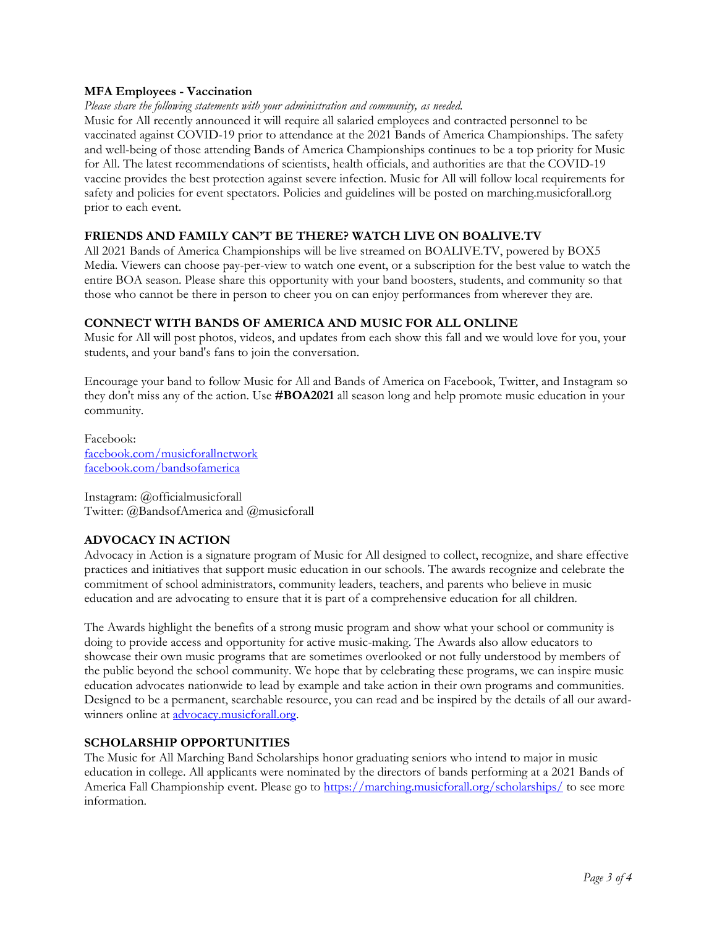### **MFA Employees - Vaccination**

#### *Please share the following statements with your administration and community, as needed.*

Music for All recently announced it will require all salaried employees and contracted personnel to be vaccinated against COVID-19 prior to attendance at the 2021 Bands of America Championships. The safety and well-being of those attending Bands of America Championships continues to be a top priority for Music for All. The latest recommendations of scientists, health officials, and authorities are that the COVID-19 vaccine provides the best protection against severe infection. Music for All will follow local requirements for safety and policies for event spectators. Policies and guidelines will be posted on marching.musicforall.org prior to each event.

### **FRIENDS AND FAMILY CAN'T BE THERE? WATCH LIVE ON BOALIVE.TV**

All 2021 Bands of America Championships will be live streamed on [BOALIVE.TV,](https://boalive.tv/) powered by BOX5 Media. Viewers can choose pay-per-view to watch one event, or a subscription for the best value to watch the entire BOA season. Please share this opportunity with your band boosters, students, and community so that those who cannot be there in person to cheer you on can enjoy performances from wherever they are.

### **CONNECT WITH BANDS OF AMERICA AND MUSIC FOR ALL ONLINE**

Music for All will post photos, videos, and updates from each show this fall and we would love for you, your students, and your band's fans to join the conversation.

Encourage your band to follow Music for All and Bands of America on Facebook, Twitter, and Instagram so they don't miss any of the action. Use **#BOA2021** all season long and help promote music education in your community.

Facebook: [facebook.com/musicforallnetwork](http://www.facebook.com/musicforallnetwork) [facebook.com/bandsofamerica](http://www.facebook.com/bandsofamerica)

Instagram: @officialmusicforall Twitter: @BandsofAmerica and @musicforall

## **ADVOCACY IN ACTION**

Advocacy in Action is a signature program of Music for All designed to collect, recognize, and share effective practices and initiatives that support music education in our schools. The awards recognize and celebrate the commitment of school administrators, community leaders, teachers, and parents who believe in music education and are advocating to ensure that it is part of a comprehensive education for all children.

The Awards highlight the benefits of a strong music program and show what your school or community is doing to provide access and opportunity for active music-making. The Awards also allow educators to showcase their own music programs that are sometimes overlooked or not fully understood by members of the public beyond the school community. We hope that by celebrating these programs, we can inspire music education advocates nationwide to lead by example and take action in their own programs and communities. Designed to be a permanent, searchable resource, you can read and be inspired by the details of all our awardwinners online at **advocacy**.musicforall.org.

#### **SCHOLARSHIP OPPORTUNITIES**

The Music for All Marching Band Scholarships honor graduating seniors who intend to major in music education in college. All applicants were nominated by the directors of bands performing at a 2021 Bands of America Fall Championship event. Please go to<https://marching.musicforall.org/scholarships/> to see more information.